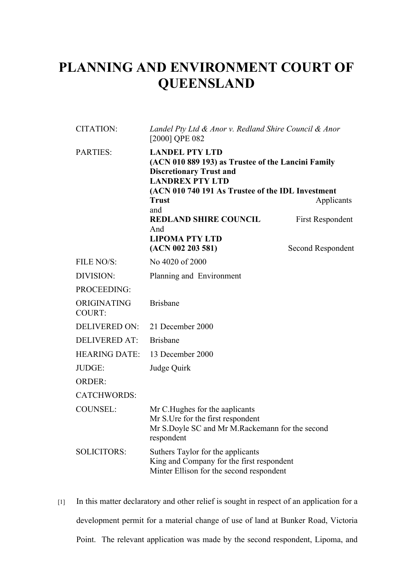## **PLANNING AND ENVIRONMENT COURT OF QUEENSLAND**

| <b>CITATION:</b>             | Landel Pty Ltd & Anor v. Redland Shire Council & Anor<br>[2000] QPE 082<br><b>LANDEL PTY LTD</b><br>(ACN 010 889 193) as Trustee of the Lancini Family<br><b>Discretionary Trust and</b><br><b>LANDREX PTY LTD</b><br>(ACN 010 740 191 As Trustee of the IDL Investment<br><b>Trust</b><br>Applicants |                         |
|------------------------------|-------------------------------------------------------------------------------------------------------------------------------------------------------------------------------------------------------------------------------------------------------------------------------------------------------|-------------------------|
| <b>PARTIES:</b>              |                                                                                                                                                                                                                                                                                                       |                         |
|                              | and<br><b>REDLAND SHIRE COUNCIL</b><br>And<br><b>LIPOMA PTY LTD</b>                                                                                                                                                                                                                                   | <b>First Respondent</b> |
|                              | (ACN 002 203 581)                                                                                                                                                                                                                                                                                     | Second Respondent       |
| FILE NO/S:                   | No 4020 of 2000                                                                                                                                                                                                                                                                                       |                         |
| DIVISION:                    | Planning and Environment                                                                                                                                                                                                                                                                              |                         |
| PROCEEDING:                  |                                                                                                                                                                                                                                                                                                       |                         |
| ORIGINATING<br><b>COURT:</b> | <b>Brisbane</b>                                                                                                                                                                                                                                                                                       |                         |
| <b>DELIVERED ON:</b>         | 21 December 2000                                                                                                                                                                                                                                                                                      |                         |
| <b>DELIVERED AT:</b>         | <b>Brisbane</b>                                                                                                                                                                                                                                                                                       |                         |
| <b>HEARING DATE:</b>         | 13 December 2000                                                                                                                                                                                                                                                                                      |                         |
| JUDGE:                       | Judge Quirk                                                                                                                                                                                                                                                                                           |                         |
| <b>ORDER:</b>                |                                                                                                                                                                                                                                                                                                       |                         |
| <b>CATCHWORDS:</b>           |                                                                                                                                                                                                                                                                                                       |                         |
| <b>COUNSEL:</b>              | Mr C. Hughes for the aaplicants<br>Mr S.Ure for the first respondent<br>Mr S.Doyle SC and Mr M.Rackemann for the second<br>respondent                                                                                                                                                                 |                         |
| <b>SOLICITORS:</b>           | Suthers Taylor for the applicants<br>King and Company for the first respondent<br>Minter Ellison for the second respondent                                                                                                                                                                            |                         |

[1] In this matter declaratory and other relief is sought in respect of an application for a development permit for a material change of use of land at Bunker Road, Victoria Point. The relevant application was made by the second respondent, Lipoma, and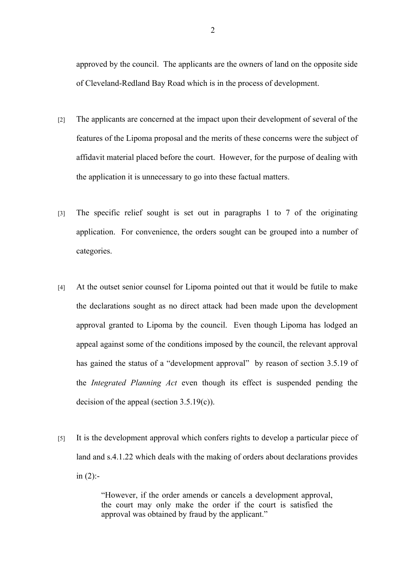approved by the council. The applicants are the owners of land on the opposite side of Cleveland-Redland Bay Road which is in the process of development.

- [2] The applicants are concerned at the impact upon their development of several of the features of the Lipoma proposal and the merits of these concerns were the subject of affidavit material placed before the court. However, for the purpose of dealing with the application it is unnecessary to go into these factual matters.
- [3] The specific relief sought is set out in paragraphs 1 to 7 of the originating application. For convenience, the orders sought can be grouped into a number of categories.
- [4] At the outset senior counsel for Lipoma pointed out that it would be futile to make the declarations sought as no direct attack had been made upon the development approval granted to Lipoma by the council. Even though Lipoma has lodged an appeal against some of the conditions imposed by the council, the relevant approval has gained the status of a "development approval" by reason of section 3.5.19 of the *Integrated Planning Act* even though its effect is suspended pending the decision of the appeal (section 3.5.19(c)).
- [5] It is the development approval which confers rights to develop a particular piece of land and s.4.1.22 which deals with the making of orders about declarations provides in  $(2)$ :-

"However, if the order amends or cancels a development approval, the court may only make the order if the court is satisfied the approval was obtained by fraud by the applicant."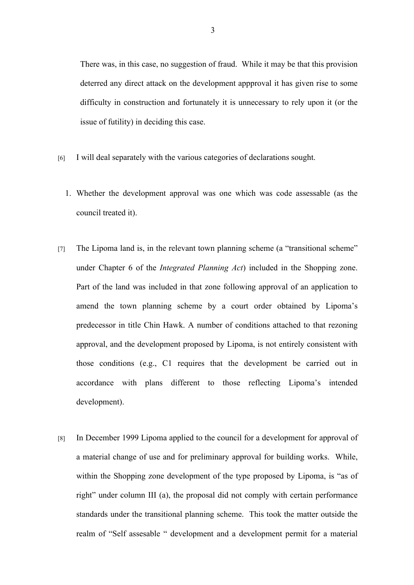There was, in this case, no suggestion of fraud. While it may be that this provision deterred any direct attack on the development appproval it has given rise to some difficulty in construction and fortunately it is unnecessary to rely upon it (or the issue of futility) in deciding this case.

- [6] I will deal separately with the various categories of declarations sought.
	- 1. Whether the development approval was one which was code assessable (as the council treated it).
- [7] The Lipoma land is, in the relevant town planning scheme (a "transitional scheme" under Chapter 6 of the *Integrated Planning Act*) included in the Shopping zone. Part of the land was included in that zone following approval of an application to amend the town planning scheme by a court order obtained by Lipoma's predecessor in title Chin Hawk. A number of conditions attached to that rezoning approval, and the development proposed by Lipoma, is not entirely consistent with those conditions (e.g., C1 requires that the development be carried out in accordance with plans different to those reflecting Lipoma's intended development).
- [8] In December 1999 Lipoma applied to the council for a development for approval of a material change of use and for preliminary approval for building works. While, within the Shopping zone development of the type proposed by Lipoma, is "as of right" under column III (a), the proposal did not comply with certain performance standards under the transitional planning scheme. This took the matter outside the realm of "Self assesable " development and a development permit for a material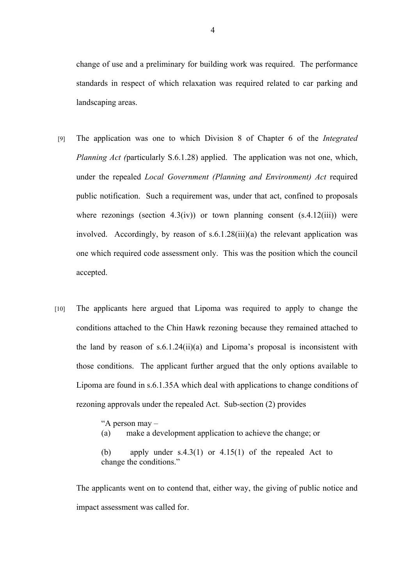change of use and a preliminary for building work was required. The performance standards in respect of which relaxation was required related to car parking and landscaping areas.

- [9] The application was one to which Division 8 of Chapter 6 of the *Integrated Planning Act (particularly S.6.1.28) applied.* The application was not one, which, under the repealed *Local Government (Planning and Environment) Act* required public notification. Such a requirement was, under that act, confined to proposals where rezonings (section  $4.3(iv)$ ) or town planning consent  $(s.4.12(iii))$  were involved. Accordingly, by reason of s.6.1.28(iii)(a) the relevant application was one which required code assessment only. This was the position which the council accepted.
- [10] The applicants here argued that Lipoma was required to apply to change the conditions attached to the Chin Hawk rezoning because they remained attached to the land by reason of s.6.1.24(ii)(a) and Lipoma's proposal is inconsistent with those conditions. The applicant further argued that the only options available to Lipoma are found in s.6.1.35A which deal with applications to change conditions of rezoning approvals under the repealed Act. Sub-section (2) provides

"A person may –

(a) make a development application to achieve the change; or

(b) apply under  $s.4.3(1)$  or  $4.15(1)$  of the repealed Act to change the conditions."

The applicants went on to contend that, either way, the giving of public notice and impact assessment was called for.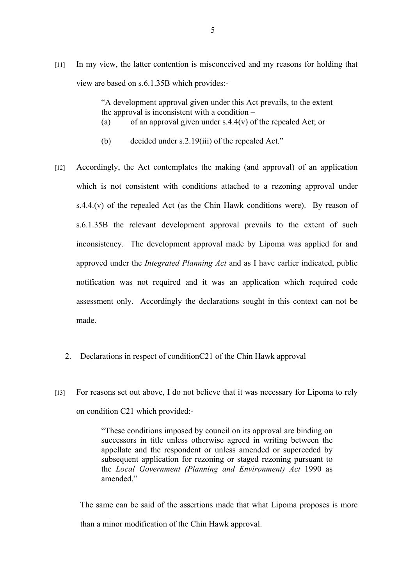[11] In my view, the latter contention is misconceived and my reasons for holding that view are based on s.6.1.35B which provides:-

> "A development approval given under this Act prevails, to the extent the approval is inconsistent with a condition – (a) of an approval given under  $s.4.4(v)$  of the repealed Act; or

- (b) decided under s.2.19(iii) of the repealed Act."
- [12] Accordingly, the Act contemplates the making (and approval) of an application which is not consistent with conditions attached to a rezoning approval under s.4.4.(v) of the repealed Act (as the Chin Hawk conditions were). By reason of s.6.1.35B the relevant development approval prevails to the extent of such inconsistency. The development approval made by Lipoma was applied for and approved under the *Integrated Planning Act* and as I have earlier indicated, public notification was not required and it was an application which required code assessment only. Accordingly the declarations sought in this context can not be made.
	- 2. Declarations in respect of conditionC21 of the Chin Hawk approval
- [13] For reasons set out above, I do not believe that it was necessary for Lipoma to rely on condition C21 which provided:-

"These conditions imposed by council on its approval are binding on successors in title unless otherwise agreed in writing between the appellate and the respondent or unless amended or superceded by subsequent application for rezoning or staged rezoning pursuant to the *Local Government (Planning and Environment) Act* 1990 as amended<sup>"</sup>

The same can be said of the assertions made that what Lipoma proposes is more than a minor modification of the Chin Hawk approval.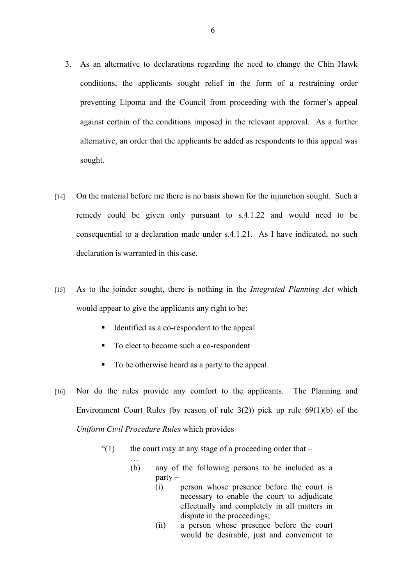- 3. As an alternative to declarations regarding the need to change the Chin Hawk conditions, the applicants sought relief in the form of a restraining order preventing Lipoma and the Council from proceeding with the former's appeal against certain of the conditions imposed in the relevant approval. As a further alternative, an order that the applicants be added as respondents to this appeal was sought.
- [14] On the material before me there is no basis shown for the injunction sought. Such a remedy could be given only pursuant to s.4.1.22 and would need to be consequential to a declaration made under s.4.1.21. As I have indicated, no such declaration is warranted in this case.
- [15] As to the joinder sought, there is nothing in the *Integrated Planning Act* which would appear to give the applicants any right to be:
	- Identified as a co-respondent to the appeal
	- To elect to become such a co-respondent

…

- To be otherwise heard as a party to the appeal.
- [16] Nor do the rules provide any comfort to the applicants. The Planning and Environment Court Rules (by reason of rule  $3(2)$ ) pick up rule  $69(1)(b)$  of the *Uniform Civil Procedure Rules* which provides
	- $\degree$  (1) the court may at any stage of a proceeding order that
		- (b) any of the following persons to be included as a  $partv -$ 
			- (i) person whose presence before the court is necessary to enable the court to adjudicate effectually and completely in all matters in dispute in the proceedings;
			- (ii) a person whose presence before the court would be desirable, just and convenient to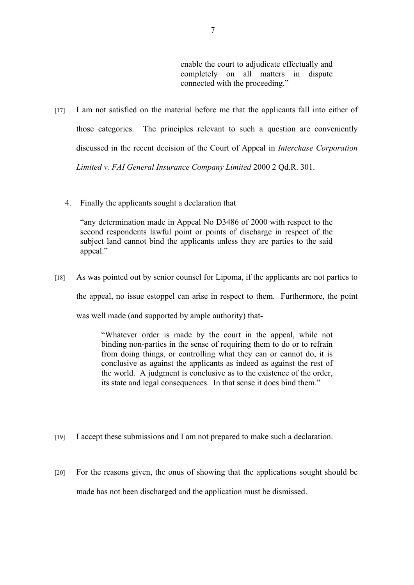enable the court to adjudicate effectually and completely on all matters in dispute connected with the proceeding."

- [17] I am not satisfied on the material before me that the applicants fall into either of those categories. The principles relevant to such a question are conveniently discussed in the recent decision of the Court of Appeal in *Interchase Corporation Limited v. FAI General Insurance Company Limited* 2000 2 Qd.R. 301.
	- 4. Finally the applicants sought a declaration that

"any determination made in Appeal No D3486 of 2000 with respect to the second respondents lawful point or points of discharge in respect of the subject land cannot bind the applicants unless they are parties to the said appeal."

[18] As was pointed out by senior counsel for Lipoma, if the applicants are not parties to the appeal, no issue estoppel can arise in respect to them. Furthermore, the point was well made (and supported by ample authority) that-

> "Whatever order is made by the court in the appeal, while not binding non-parties in the sense of requiring them to do or to refrain from doing things, or controlling what they can or cannot do, it is conclusive as against the applicants as indeed as against the rest of the world. A judgment is conclusive as to the existence of the order, its state and legal consequences. In that sense it does bind them."

- [19] I accept these submissions and I am not prepared to make such a declaration.
- [20] For the reasons given, the onus of showing that the applications sought should be made has not been discharged and the application must be dismissed.